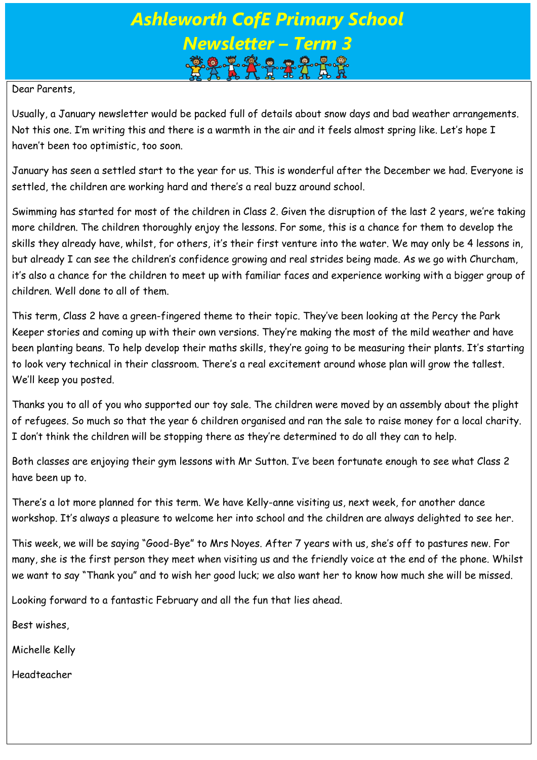# *Ashleworth CofE Primary School Newsletter – Term 3*

#### Dear Parents,

Usually, a January newsletter would be packed full of details about snow days and bad weather arrangements. Not this one. I'm writing this and there is a warmth in the air and it feels almost spring like. Let's hope I haven't been too optimistic, too soon.

January has seen a settled start to the year for us. This is wonderful after the December we had. Everyone is settled, the children are working hard and there's a real buzz around school.

Swimming has started for most of the children in Class 2. Given the disruption of the last 2 years, we're taking more children. The children thoroughly enjoy the lessons. For some, this is a chance for them to develop the skills they already have, whilst, for others, it's their first venture into the water. We may only be 4 lessons in, but already I can see the children's confidence growing and real strides being made. As we go with Churcham, it's also a chance for the children to meet up with familiar faces and experience working with a bigger group of children. Well done to all of them.

This term, Class 2 have a green-fingered theme to their topic. They've been looking at the Percy the Park Keeper stories and coming up with their own versions. They're making the most of the mild weather and have been planting beans. To help develop their maths skills, they're going to be measuring their plants. It's starting to look very technical in their classroom. There's a real excitement around whose plan will grow the tallest. We'll keep you posted.

Thanks you to all of you who supported our toy sale. The children were moved by an assembly about the plight of refugees. So much so that the year 6 children organised and ran the sale to raise money for a local charity. I don't think the children will be stopping there as they're determined to do all they can to help.

Both classes are enjoying their gym lessons with Mr Sutton. I've been fortunate enough to see what Class 2 have been up to.

There's a lot more planned for this term. We have Kelly-anne visiting us, next week, for another dance workshop. It's always a pleasure to welcome her into school and the children are always delighted to see her.

This week, we will be saying "Good-Bye" to Mrs Noyes. After 7 years with us, she's off to pastures new. For many, she is the first person they meet when visiting us and the friendly voice at the end of the phone. Whilst we want to say "Thank you" and to wish her good luck; we also want her to know how much she will be missed.

Looking forward to a fantastic February and all the fun that lies ahead.

Best wishes,

Michelle Kelly

Headteacher